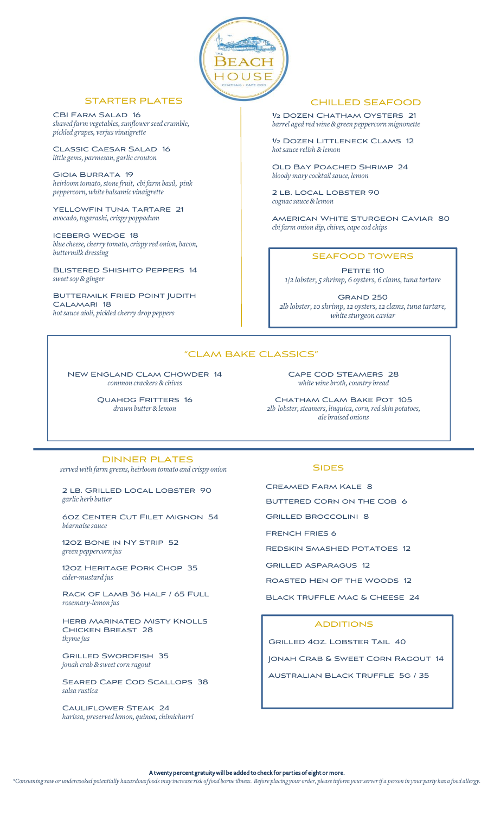

### STARTER PLATES

CBI FARM SALAD 16 *shaved farm vegetables,sunflowerseed crumble, pickled grapes, verjus vinaigrette*

Classic Caesar Salad 16 *little gems, parmesan, garliccrouton*

Gioia Burrata 19 *heirloom tomato,stonefruit, cbi farm basil, pink peppercorn,white balsamic vinaigrette*

YELLOWFIN TUNA TARTARE 21 *avocado, togarashi,crispy poppadum*

Iceberg Wedge 18 *bluecheese,cherry tomato,crispy red onion, bacon, buttermilk dressing*

Blistered Shishito Peppers 14 *sweetsoy& ginger*

Buttermilk Fried Point Judith Calamari 18 *hotsauce aioli, pickled cherry drop peppers*

### CHILLED SEAFOOD

½ Dozen Chatham Oysters 21 *barrel aged redwine &green peppercorn mignonette*

½ Dozen Littleneck Clams 12 *hotsaucerelish& lemon*

Old Bay Poached Shrimp 24 *bloody mary cocktail sauce, lemon*

2 lb. Local Lobster 90 *cognacsauce& lemon*

American White Sturgeon Caviar 80 *cbi farm onion dip,chives,capecod chips*

### SEAFOOD TOWERS

PETITE 110 *1/2 lobster, 5 shrimp, 6 oysters, 6 clams, tuna tartare*

Grand 250 *2lb lobster,10 shrimp,12 oysters,12 clams, tuna tartare, whitesturgeon caviar*

# "CLAM BAKE CLASSICS"

New England Clam Chowder 14 *common crackers & chives*

> Quahog Fritters 16 *drawn butter &lemon*

Cape Cod Steamers 28 *white wine broth,country bread*

CHATHAM CLAM BAKE POT 105 *2lb lobster,steamers, linquica,corn,red skin potatoes, ale braised onions*

### DINNER PLATES

*servedwith farm greens, heirloom tomato and crispy onion*

2 lb. Grilled Local Lobster 90 *garlic herb butter*

6oz Center Cut Filet Mignon 54 *béarnaise sauce* 

12oz Bone in NY Strip 52 *green peppercorn jus*

12oz Heritage Pork Chop 35 *cider-mustard jus*

Rack of Lamb 36 half / 65 Full *rosemary-lemon jus*

Herb Marinated Misty Knolls Chicken Breast 28 *thymejus*

Grilled Swordfish 35  $j$ onah *crab* & *sweet corn ragout* 

SEARED CAPE COD SCALLOPS 38 *salsa rustica*

Cauliflower Steak 24 *harissa, preserved lemon, quinoa,chimichurri*

#### **SIDES**

Creamed Farm Kale 8

BUTTERED CORN ON THE COB 6

Grilled Broccolini 8

French Fries 6

Redskin Smashed Potatoes 12

Grilled Asparagus 12

Roasted Hen of the Woods 12

Black Truffle Mac & Cheese 24

#### **ADDITIONS**

Grilled 4oz. Lobster Tail 40 Jonah Crab & Sweet Corn Ragout 14 Australian Black Truffle 5g / 35

A twenty percent gratuity will be added to check for parties of eight or more.

\*Consuming raw or undercooked potentially hazardous foods may increase risk of food borne illness. Before placing your order, please inform your server if a person in your party has a food allergy.